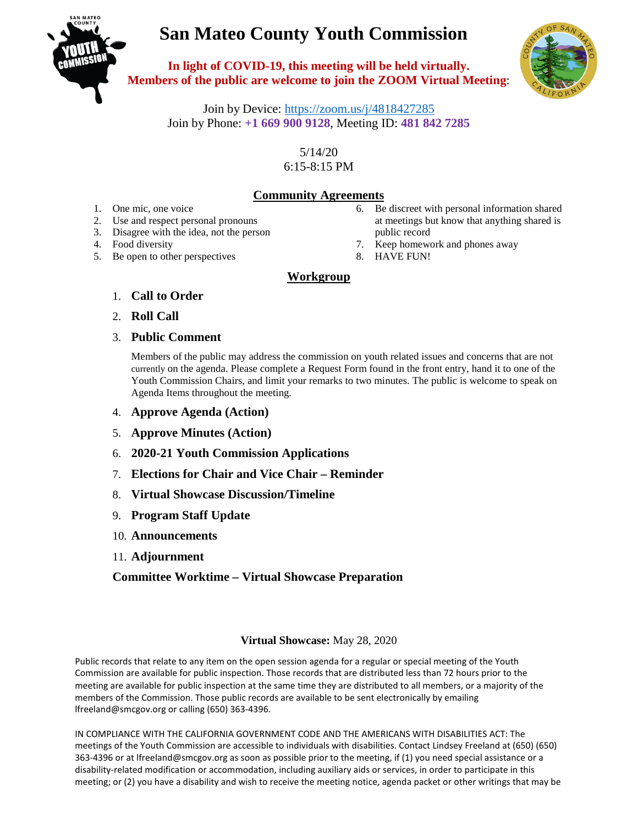# **San Mateo County Youth Commission**



**In light of COVID-19, this meeting will be held virtually. Members of the public are welcome to join the ZOOM Virtual Meeting**:



Join by Device:<https://zoom.us/j/4818427285> Join by Phone: **+1 669 900 9128**, Meeting ID: **481 842 7285**

> 5/14/20 6:15-8:15 PM

## **Community Agreements**

- 1. One mic, one voice
- 2. Use and respect personal pronouns
- 3. Disagree with the idea, not the person
- 4. Food diversity
- 5. Be open to other perspectives
- 6. Be discreet with personal information shared at meetings but know that anything shared is public record
- 7. Keep homework and phones away
- 8. HAVE FUN!

### **Workgroup**

- 1. **Call to Order**
- 2. **Roll Call**
- 3. **Public Comment**

Members of the public may address the commission on youth related issues and concerns that are not currently on the agenda. Please complete a Request Form found in the front entry, hand it to one of the Youth Commission Chairs, and limit your remarks to two minutes. The public is welcome to speak on Agenda Items throughout the meeting.

- 4. **Approve Agenda (Action)**
- 5. **Approve Minutes (Action)**
- 6. **2020-21 Youth Commission Applications**
- 7. **Elections for Chair and Vice Chair – Reminder**
- 8. **Virtual Showcase Discussion/Timeline**
- 9. **Program Staff Update**
- 10. **Announcements**
- 11. **Adjournment**

### **Committee Worktime – Virtual Showcase Preparation**

#### **Virtual Showcase:** May 28, 2020

Public records that relate to any item on the open session agenda for a regular or special meeting of the Youth Commission are available for public inspection. Those records that are distributed less than 72 hours prior to the meeting are available for public inspection at the same time they are distributed to all members, or a majority of the members of the Commission. Those public records are available to be sent electronically by emailing lfreeland@smcgov.org or calling (650) 363-4396.

IN COMPLIANCE WITH THE CALIFORNIA GOVERNMENT CODE AND THE AMERICANS WITH DISABILITIES ACT: The meetings of the Youth Commission are accessible to individuals with disabilities. Contact Lindsey Freeland at (650) (650) 363-4396 or at lfreeland@smcgov.org as soon as possible prior to the meeting, if (1) you need special assistance or a disability-related modification or accommodation, including auxiliary aids or services, in order to participate in this meeting; or (2) you have a disability and wish to receive the meeting notice, agenda packet or other writings that may be